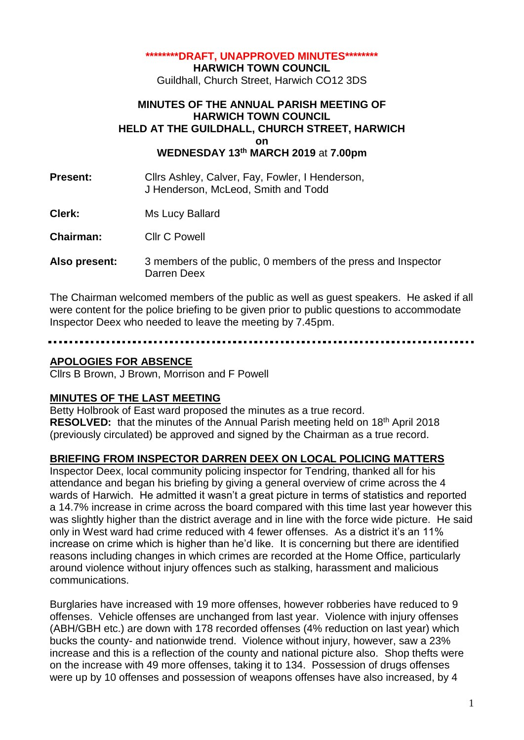#### **\*\*\*\*\*\*\*\*DRAFT, UNAPPROVED MINUTES\*\*\*\*\*\*\*\***

**HARWICH TOWN COUNCIL**

Guildhall, Church Street, Harwich CO12 3DS

#### **MINUTES OF THE ANNUAL PARISH MEETING OF HARWICH TOWN COUNCIL HELD AT THE GUILDHALL, CHURCH STREET, HARWICH on WEDNESDAY 13 th MARCH 2019** at **7.00pm**

**Present:** Clirs Ashley, Calver, Fay, Fowler, I Henderson, J Henderson, McLeod, Smith and Todd

**Clerk:** Ms Lucy Ballard

**Chairman:** Cllr C Powell

**Also present:** 3 members of the public, 0 members of the press and Inspector Darren Deex

The Chairman welcomed members of the public as well as guest speakers. He asked if all were content for the police briefing to be given prior to public questions to accommodate Inspector Deex who needed to leave the meeting by 7.45pm.

## **APOLOGIES FOR ABSENCE**

Cllrs B Brown, J Brown, Morrison and F Powell

### **MINUTES OF THE LAST MEETING**

Betty Holbrook of East ward proposed the minutes as a true record. RESOLVED: that the minutes of the Annual Parish meeting held on 18<sup>th</sup> April 2018 (previously circulated) be approved and signed by the Chairman as a true record.

### **BRIEFING FROM INSPECTOR DARREN DEEX ON LOCAL POLICING MATTERS**

Inspector Deex, local community policing inspector for Tendring, thanked all for his attendance and began his briefing by giving a general overview of crime across the 4 wards of Harwich. He admitted it wasn't a great picture in terms of statistics and reported a 14.7% increase in crime across the board compared with this time last year however this was slightly higher than the district average and in line with the force wide picture. He said only in West ward had crime reduced with 4 fewer offenses. As a district it's an 11% increase on crime which is higher than he'd like. It is concerning but there are identified reasons including changes in which crimes are recorded at the Home Office, particularly around violence without injury offences such as stalking, harassment and malicious communications.

Burglaries have increased with 19 more offenses, however robberies have reduced to 9 offenses. Vehicle offenses are unchanged from last year. Violence with injury offenses (ABH/GBH etc.) are down with 178 recorded offenses (4% reduction on last year) which bucks the county- and nationwide trend. Violence without injury, however, saw a 23% increase and this is a reflection of the county and national picture also. Shop thefts were on the increase with 49 more offenses, taking it to 134. Possession of drugs offenses were up by 10 offenses and possession of weapons offenses have also increased, by 4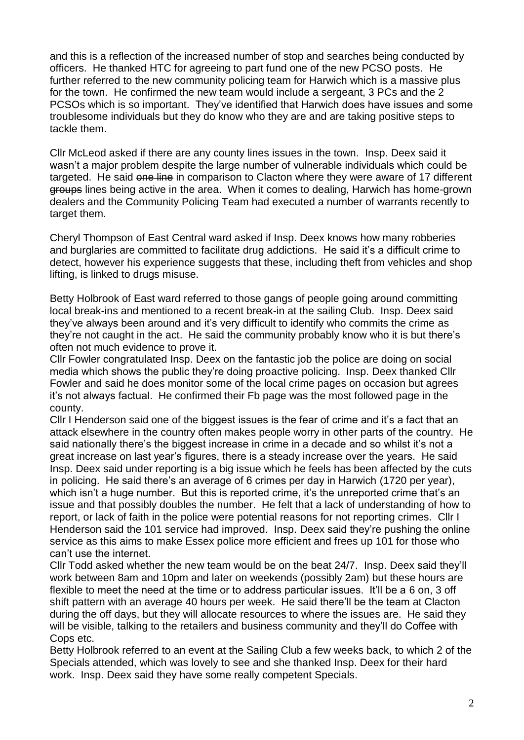and this is a reflection of the increased number of stop and searches being conducted by officers. He thanked HTC for agreeing to part fund one of the new PCSO posts. He further referred to the new community policing team for Harwich which is a massive plus for the town. He confirmed the new team would include a sergeant, 3 PCs and the 2 PCSOs which is so important. They've identified that Harwich does have issues and some troublesome individuals but they do know who they are and are taking positive steps to tackle them.

Cllr McLeod asked if there are any county lines issues in the town. Insp. Deex said it wasn't a major problem despite the large number of vulnerable individuals which could be targeted. He said one line in comparison to Clacton where they were aware of 17 different groups lines being active in the area. When it comes to dealing, Harwich has home-grown dealers and the Community Policing Team had executed a number of warrants recently to target them.

Cheryl Thompson of East Central ward asked if Insp. Deex knows how many robberies and burglaries are committed to facilitate drug addictions. He said it's a difficult crime to detect, however his experience suggests that these, including theft from vehicles and shop lifting, is linked to drugs misuse.

Betty Holbrook of East ward referred to those gangs of people going around committing local break-ins and mentioned to a recent break-in at the sailing Club. Insp. Deex said they've always been around and it's very difficult to identify who commits the crime as they're not caught in the act. He said the community probably know who it is but there's often not much evidence to prove it.

Cllr Fowler congratulated Insp. Deex on the fantastic job the police are doing on social media which shows the public they're doing proactive policing. Insp. Deex thanked Cllr Fowler and said he does monitor some of the local crime pages on occasion but agrees it's not always factual. He confirmed their Fb page was the most followed page in the county.

Cllr I Henderson said one of the biggest issues is the fear of crime and it's a fact that an attack elsewhere in the country often makes people worry in other parts of the country. He said nationally there's the biggest increase in crime in a decade and so whilst it's not a great increase on last year's figures, there is a steady increase over the years. He said Insp. Deex said under reporting is a big issue which he feels has been affected by the cuts in policing. He said there's an average of 6 crimes per day in Harwich (1720 per year), which isn't a huge number. But this is reported crime, it's the unreported crime that's an issue and that possibly doubles the number. He felt that a lack of understanding of how to report, or lack of faith in the police were potential reasons for not reporting crimes. Cllr I Henderson said the 101 service had improved. Insp. Deex said they're pushing the online service as this aims to make Essex police more efficient and frees up 101 for those who can't use the internet.

Cllr Todd asked whether the new team would be on the beat 24/7. Insp. Deex said they'll work between 8am and 10pm and later on weekends (possibly 2am) but these hours are flexible to meet the need at the time or to address particular issues. It'll be a 6 on, 3 off shift pattern with an average 40 hours per week. He said there'll be the team at Clacton during the off days, but they will allocate resources to where the issues are. He said they will be visible, talking to the retailers and business community and they'll do Coffee with Cops etc.

Betty Holbrook referred to an event at the Sailing Club a few weeks back, to which 2 of the Specials attended, which was lovely to see and she thanked Insp. Deex for their hard work. Insp. Deex said they have some really competent Specials.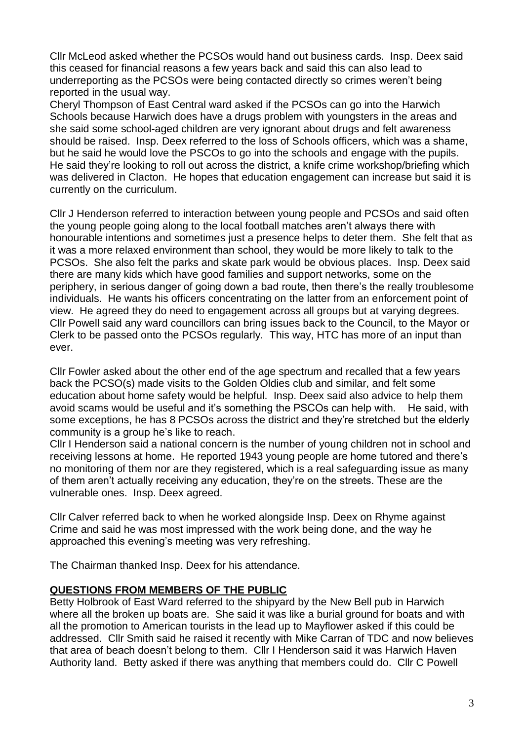Cllr McLeod asked whether the PCSOs would hand out business cards. Insp. Deex said this ceased for financial reasons a few years back and said this can also lead to underreporting as the PCSOs were being contacted directly so crimes weren't being reported in the usual way.

Cheryl Thompson of East Central ward asked if the PCSOs can go into the Harwich Schools because Harwich does have a drugs problem with youngsters in the areas and she said some school-aged children are very ignorant about drugs and felt awareness should be raised. Insp. Deex referred to the loss of Schools officers, which was a shame, but he said he would love the PSCOs to go into the schools and engage with the pupils. He said they're looking to roll out across the district, a knife crime workshop/briefing which was delivered in Clacton. He hopes that education engagement can increase but said it is currently on the curriculum.

Cllr J Henderson referred to interaction between young people and PCSOs and said often the young people going along to the local football matches aren't always there with honourable intentions and sometimes just a presence helps to deter them. She felt that as it was a more relaxed environment than school, they would be more likely to talk to the PCSOs. She also felt the parks and skate park would be obvious places. Insp. Deex said there are many kids which have good families and support networks, some on the periphery, in serious danger of going down a bad route, then there's the really troublesome individuals. He wants his officers concentrating on the latter from an enforcement point of view. He agreed they do need to engagement across all groups but at varying degrees. Cllr Powell said any ward councillors can bring issues back to the Council, to the Mayor or Clerk to be passed onto the PCSOs regularly. This way, HTC has more of an input than ever.

Cllr Fowler asked about the other end of the age spectrum and recalled that a few years back the PCSO(s) made visits to the Golden Oldies club and similar, and felt some education about home safety would be helpful. Insp. Deex said also advice to help them avoid scams would be useful and it's something the PSCOs can help with. He said, with some exceptions, he has 8 PCSOs across the district and they're stretched but the elderly community is a group he's like to reach.

Cllr I Henderson said a national concern is the number of young children not in school and receiving lessons at home. He reported 1943 young people are home tutored and there's no monitoring of them nor are they registered, which is a real safeguarding issue as many of them aren't actually receiving any education, they're on the streets. These are the vulnerable ones. Insp. Deex agreed.

Cllr Calver referred back to when he worked alongside Insp. Deex on Rhyme against Crime and said he was most impressed with the work being done, and the way he approached this evening's meeting was very refreshing.

The Chairman thanked Insp. Deex for his attendance.

## **QUESTIONS FROM MEMBERS OF THE PUBLIC**

Betty Holbrook of East Ward referred to the shipyard by the New Bell pub in Harwich where all the broken up boats are. She said it was like a burial ground for boats and with all the promotion to American tourists in the lead up to Mayflower asked if this could be addressed. Cllr Smith said he raised it recently with Mike Carran of TDC and now believes that area of beach doesn't belong to them. Cllr I Henderson said it was Harwich Haven Authority land. Betty asked if there was anything that members could do. Cllr C Powell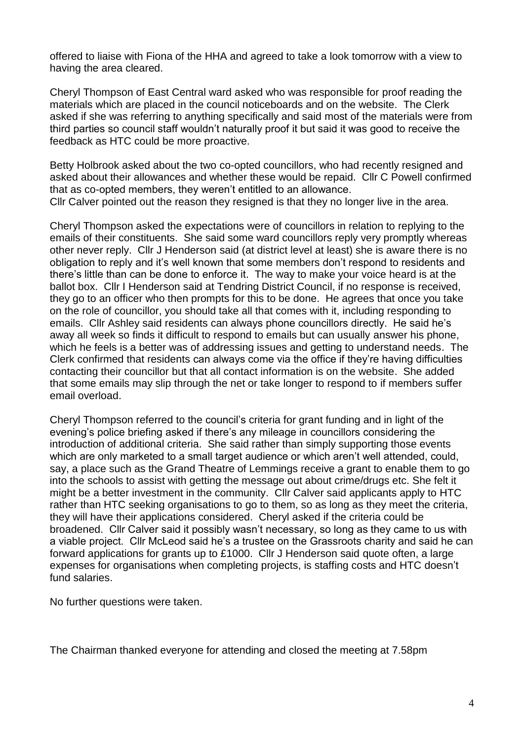offered to liaise with Fiona of the HHA and agreed to take a look tomorrow with a view to having the area cleared.

Cheryl Thompson of East Central ward asked who was responsible for proof reading the materials which are placed in the council noticeboards and on the website. The Clerk asked if she was referring to anything specifically and said most of the materials were from third parties so council staff wouldn't naturally proof it but said it was good to receive the feedback as HTC could be more proactive.

Betty Holbrook asked about the two co-opted councillors, who had recently resigned and asked about their allowances and whether these would be repaid. Cllr C Powell confirmed that as co-opted members, they weren't entitled to an allowance. Cllr Calver pointed out the reason they resigned is that they no longer live in the area.

Cheryl Thompson asked the expectations were of councillors in relation to replying to the emails of their constituents. She said some ward councillors reply very promptly whereas other never reply. Cllr J Henderson said (at district level at least) she is aware there is no obligation to reply and it's well known that some members don't respond to residents and there's little than can be done to enforce it. The way to make your voice heard is at the ballot box. Cllr I Henderson said at Tendring District Council, if no response is received, they go to an officer who then prompts for this to be done. He agrees that once you take on the role of councillor, you should take all that comes with it, including responding to emails. Cllr Ashley said residents can always phone councillors directly. He said he's away all week so finds it difficult to respond to emails but can usually answer his phone, which he feels is a better was of addressing issues and getting to understand needs. The Clerk confirmed that residents can always come via the office if they're having difficulties contacting their councillor but that all contact information is on the website. She added that some emails may slip through the net or take longer to respond to if members suffer email overload.

Cheryl Thompson referred to the council's criteria for grant funding and in light of the evening's police briefing asked if there's any mileage in councillors considering the introduction of additional criteria. She said rather than simply supporting those events which are only marketed to a small target audience or which aren't well attended, could, say, a place such as the Grand Theatre of Lemmings receive a grant to enable them to go into the schools to assist with getting the message out about crime/drugs etc. She felt it might be a better investment in the community. Cllr Calver said applicants apply to HTC rather than HTC seeking organisations to go to them, so as long as they meet the criteria, they will have their applications considered. Cheryl asked if the criteria could be broadened. Cllr Calver said it possibly wasn't necessary, so long as they came to us with a viable project. Cllr McLeod said he's a trustee on the Grassroots charity and said he can forward applications for grants up to £1000. Cllr J Henderson said quote often, a large expenses for organisations when completing projects, is staffing costs and HTC doesn't fund salaries.

No further questions were taken.

The Chairman thanked everyone for attending and closed the meeting at 7.58pm